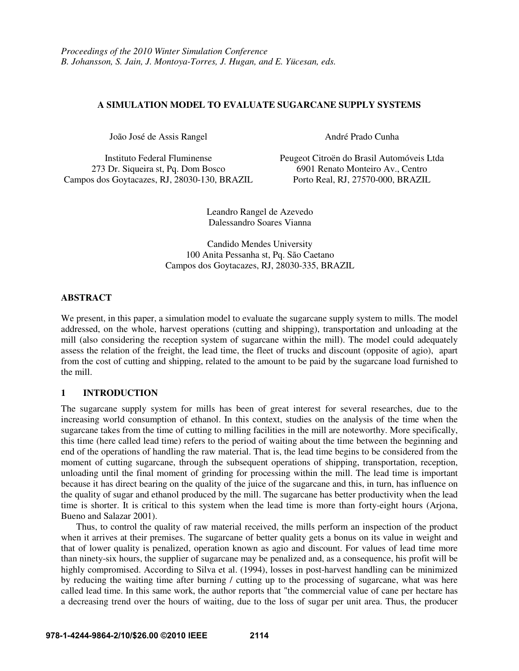# **A SIMULATION MODEL TO EVALUATE SUGARCANE SUPPLY SYSTEMS**

João José de Assis Rangel André Prado Cunha

273 Dr. Siqueira st, Pq. Dom Bosco 6901 Renato Monteiro Av., Centro Campos dos Goytacazes, RJ, 28030-130, BRAZIL Porto Real, RJ, 27570-000, BRAZIL

Instituto Federal Fluminense Peugeot Citroën do Brasil Automóveis Ltda

Leandro Rangel de Azevedo Dalessandro Soares Vianna

Candido Mendes University 100 Anita Pessanha st, Pq. São Caetano Campos dos Goytacazes, RJ, 28030-335, BRAZIL

### **ABSTRACT**

We present, in this paper, a simulation model to evaluate the sugarcane supply system to mills. The model addressed, on the whole, harvest operations (cutting and shipping), transportation and unloading at the mill (also considering the reception system of sugarcane within the mill). The model could adequately assess the relation of the freight, the lead time, the fleet of trucks and discount (opposite of agio), apart from the cost of cutting and shipping, related to the amount to be paid by the sugarcane load furnished to the mill.

# **1 INTRODUCTION**

The sugarcane supply system for mills has been of great interest for several researches, due to the increasing world consumption of ethanol. In this context, studies on the analysis of the time when the sugarcane takes from the time of cutting to milling facilities in the mill are noteworthy. More specifically, this time (here called lead time) refers to the period of waiting about the time between the beginning and end of the operations of handling the raw material. That is, the lead time begins to be considered from the moment of cutting sugarcane, through the subsequent operations of shipping, transportation, reception, unloading until the final moment of grinding for processing within the mill. The lead time is important because it has direct bearing on the quality of the juice of the sugarcane and this, in turn, has influence on the quality of sugar and ethanol produced by the mill. The sugarcane has better productivity when the lead time is shorter. It is critical to this system when the lead time is more than forty-eight hours (Arjona, Bueno and Salazar 2001).

Thus, to control the quality of raw material received, the mills perform an inspection of the product when it arrives at their premises. The sugarcane of better quality gets a bonus on its value in weight and that of lower quality is penalized, operation known as agio and discount. For values of lead time more than ninety-six hours, the supplier of sugarcane may be penalized and, as a consequence, his profit will be highly compromised. According to Silva et al. (1994), losses in post-harvest handling can be minimized by reducing the waiting time after burning / cutting up to the processing of sugarcane, what was here called lead time. In this same work, the author reports that "the commercial value of cane per hectare has a decreasing trend over the hours of waiting, due to the loss of sugar per unit area. Thus, the producer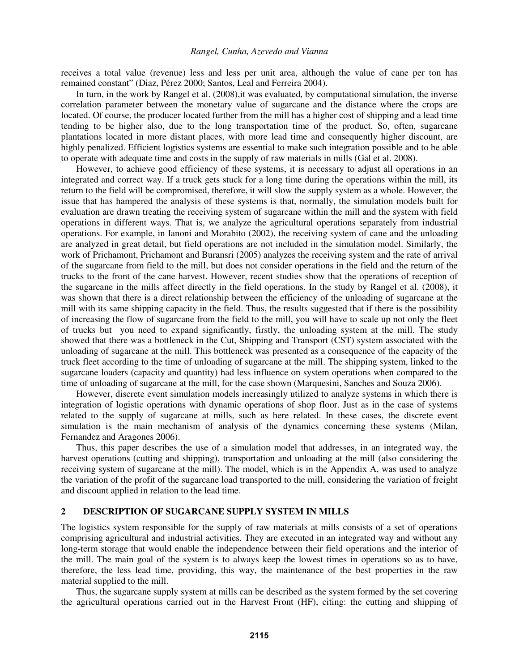receives a total value (revenue) less and less per unit area, although the value of cane per ton has remained constant" (Diaz, Pérez 2000; Santos, Leal and Ferreira 2004).

In turn, in the work by Rangel et al. (2008), it was evaluated, by computational simulation, the inverse correlation parameter between the monetary value of sugarcane and the distance where the crops are located. Of course, the producer located further from the mill has a higher cost of shipping and a lead time tending to be higher also, due to the long transportation time of the product. So, often, sugarcane plantations located in more distant places, with more lead time and consequently higher discount, are highly penalized. Efficient logistics systems are essential to make such integration possible and to be able to operate with adequate time and costs in the supply of raw materials in mills (Gal et al. 2008).

However, to achieve good efficiency of these systems, it is necessary to adjust all operations in an integrated and correct way. If a truck gets stuck for a long time during the operations within the mill, its return to the field will be compromised, therefore, it will slow the supply system as a whole. However, the issue that has hampered the analysis of these systems is that, normally, the simulation models built for evaluation are drawn treating the receiving system of sugarcane within the mill and the system with field operations in different ways. That is, we analyze the agricultural operations separately from industrial operations. For example, in Ianoni and Morabito (2002), the receiving system of cane and the unloading are analyzed in great detail, but field operations are not included in the simulation model. Similarly, the work of Prichamont, Prichamont and Buransri (2005) analyzes the receiving system and the rate of arrival of the sugarcane from field to the mill, but does not consider operations in the field and the return of the trucks to the front of the cane harvest. However, recent studies show that the operations of reception of the sugarcane in the mills affect directly in the field operations. In the study by Rangel et al. (2008), it was shown that there is a direct relationship between the efficiency of the unloading of sugarcane at the mill with its same shipping capacity in the field. Thus, the results suggested that if there is the possibility of increasing the flow of sugarcane from the field to the mill, you will have to scale up not only the fleet of trucks but you need to expand significantly, firstly, the unloading system at the mill. The study showed that there was a bottleneck in the Cut, Shipping and Transport (CST) system associated with the unloading of sugarcane at the mill. This bottleneck was presented as a consequence of the capacity of the truck fleet according to the time of unloading of sugarcane at the mill. The shipping system, linked to the sugarcane loaders (capacity and quantity) had less influence on system operations when compared to the time of unloading of sugarcane at the mill, for the case shown (Marquesini, Sanches and Souza 2006).

However, discrete event simulation models increasingly utilized to analyze systems in which there is integration of logistic operations with dynamic operations of shop floor. Just as in the case of systems related to the supply of sugarcane at mills, such as here related. In these cases, the discrete event simulation is the main mechanism of analysis of the dynamics concerning these systems (Milan, Fernandez and Aragones 2006).

Thus, this paper describes the use of a simulation model that addresses, in an integrated way, the harvest operations (cutting and shipping), transportation and unloading at the mill (also considering the receiving system of sugarcane at the mill). The model, which is in the Appendix A, was used to analyze the variation of the profit of the sugarcane load transported to the mill, considering the variation of freight and discount applied in relation to the lead time.

### **2 DESCRIPTION OF SUGARCANE SUPPLY SYSTEM IN MILLS**

The logistics system responsible for the supply of raw materials at mills consists of a set of operations comprising agricultural and industrial activities. They are executed in an integrated way and without any long-term storage that would enable the independence between their field operations and the interior of the mill. The main goal of the system is to always keep the lowest times in operations so as to have, therefore, the less lead time, providing, this way, the maintenance of the best properties in the raw material supplied to the mill.

Thus, the sugarcane supply system at mills can be described as the system formed by the set covering the agricultural operations carried out in the Harvest Front (HF), citing: the cutting and shipping of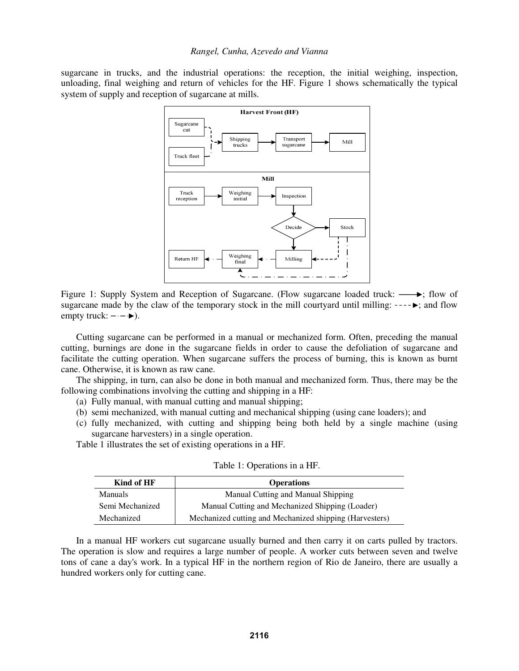sugarcane in trucks, and the industrial operations: the reception, the initial weighing, inspection, unloading, final weighing and return of vehicles for the HF. Figure 1 shows schematically the typical system of supply and reception of sugarcane at mills.



Figure 1: Supply System and Reception of Sugarcane. (Flow sugarcane loaded truck:  $\longrightarrow$ ; flow of sugarcane made by the claw of the temporary stock in the mill courtyard until milling:  $---\rightarrow$ ; and flow empty truck:  $-\cdot$   $\rightarrow$  ).

Cutting sugarcane can be performed in a manual or mechanized form. Often, preceding the manual cutting, burnings are done in the sugarcane fields in order to cause the defoliation of sugarcane and facilitate the cutting operation. When sugarcane suffers the process of burning, this is known as burnt cane. Otherwise, it is known as raw cane.

The shipping, in turn, can also be done in both manual and mechanized form. Thus, there may be the following combinations involving the cutting and shipping in a HF:

- (a) Fully manual, with manual cutting and manual shipping;
- (b) semi mechanized, with manual cutting and mechanical shipping (using cane loaders); and
- (c) fully mechanized, with cutting and shipping being both held by a single machine (using sugarcane harvesters) in a single operation.

Table 1 illustrates the set of existing operations in a HF.

| Kind of HF<br><b>Operations</b> |                                                         |
|---------------------------------|---------------------------------------------------------|
| <b>Manuals</b>                  | Manual Cutting and Manual Shipping                      |
| Semi Mechanized                 | Manual Cutting and Mechanized Shipping (Loader)         |
| Mechanized                      | Mechanized cutting and Mechanized shipping (Harvesters) |

Table 1: Operations in a HF.

 In a manual HF workers cut sugarcane usually burned and then carry it on carts pulled by tractors. The operation is slow and requires a large number of people. A worker cuts between seven and twelve tons of cane a day's work. In a typical HF in the northern region of Rio de Janeiro, there are usually a hundred workers only for cutting cane.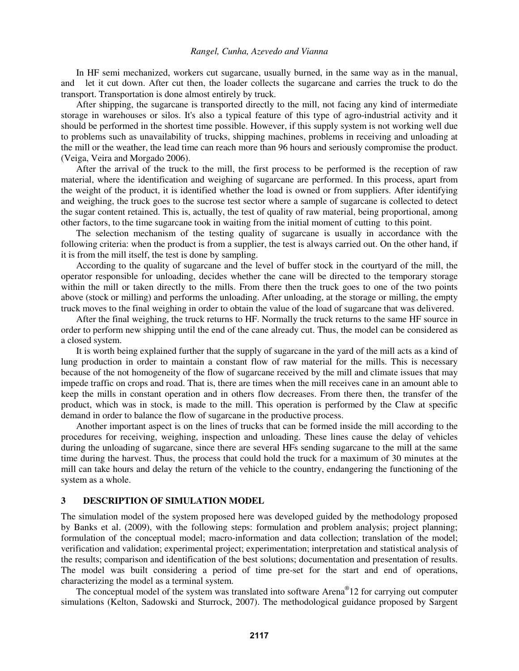In HF semi mechanized, workers cut sugarcane, usually burned, in the same way as in the manual, and let it cut down. After cut then, the loader collects the sugarcane and carries the truck to do the transport. Transportation is done almost entirely by truck.

After shipping, the sugarcane is transported directly to the mill, not facing any kind of intermediate storage in warehouses or silos. It's also a typical feature of this type of agro-industrial activity and it should be performed in the shortest time possible. However, if this supply system is not working well due to problems such as unavailability of trucks, shipping machines, problems in receiving and unloading at the mill or the weather, the lead time can reach more than 96 hours and seriously compromise the product. (Veiga, Veira and Morgado 2006).

After the arrival of the truck to the mill, the first process to be performed is the reception of raw material, where the identification and weighing of sugarcane are performed. In this process, apart from the weight of the product, it is identified whether the load is owned or from suppliers. After identifying and weighing, the truck goes to the sucrose test sector where a sample of sugarcane is collected to detect the sugar content retained. This is, actually, the test of quality of raw material, being proportional, among other factors, to the time sugarcane took in waiting from the initial moment of cutting to this point.

The selection mechanism of the testing quality of sugarcane is usually in accordance with the following criteria: when the product is from a supplier, the test is always carried out. On the other hand, if it is from the mill itself, the test is done by sampling.

According to the quality of sugarcane and the level of buffer stock in the courtyard of the mill, the operator responsible for unloading, decides whether the cane will be directed to the temporary storage within the mill or taken directly to the mills. From there then the truck goes to one of the two points above (stock or milling) and performs the unloading. After unloading, at the storage or milling, the empty truck moves to the final weighing in order to obtain the value of the load of sugarcane that was delivered.

After the final weighing, the truck returns to HF. Normally the truck returns to the same HF source in order to perform new shipping until the end of the cane already cut. Thus, the model can be considered as a closed system.

It is worth being explained further that the supply of sugarcane in the yard of the mill acts as a kind of lung production in order to maintain a constant flow of raw material for the mills. This is necessary because of the not homogeneity of the flow of sugarcane received by the mill and climate issues that may impede traffic on crops and road. That is, there are times when the mill receives cane in an amount able to keep the mills in constant operation and in others flow decreases. From there then, the transfer of the product, which was in stock, is made to the mill. This operation is performed by the Claw at specific demand in order to balance the flow of sugarcane in the productive process.

Another important aspect is on the lines of trucks that can be formed inside the mill according to the procedures for receiving, weighing, inspection and unloading. These lines cause the delay of vehicles during the unloading of sugarcane, since there are several HFs sending sugarcane to the mill at the same time during the harvest. Thus, the process that could hold the truck for a maximum of 30 minutes at the mill can take hours and delay the return of the vehicle to the country, endangering the functioning of the system as a whole.

# **3 DESCRIPTION OF SIMULATION MODEL**

The simulation model of the system proposed here was developed guided by the methodology proposed by Banks et al. (2009), with the following steps: formulation and problem analysis; project planning; formulation of the conceptual model; macro-information and data collection; translation of the model; verification and validation; experimental project; experimentation; interpretation and statistical analysis of the results; comparison and identification of the best solutions; documentation and presentation of results. The model was built considering a period of time pre-set for the start and end of operations, characterizing the model as a terminal system.

The conceptual model of the system was translated into software Arena<sup>®</sup>12 for carrying out computer simulations (Kelton, Sadowski and Sturrock, 2007). The methodological guidance proposed by Sargent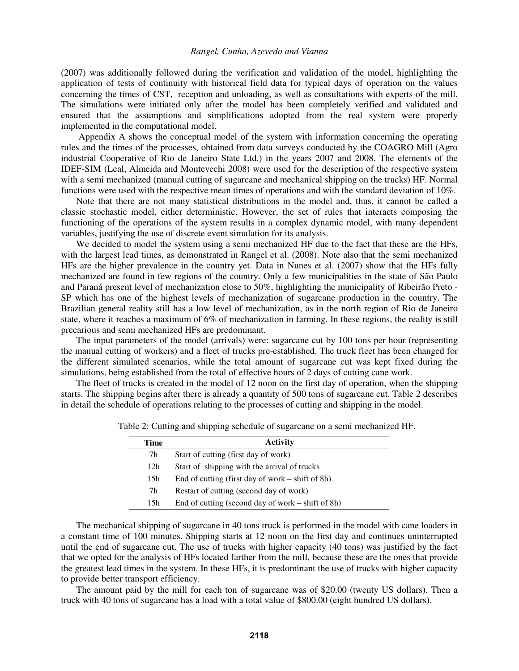(2007) was additionally followed during the verification and validation of the model, highlighting the application of tests of continuity with historical field data for typical days of operation on the values concerning the times of CST, reception and unloading, as well as consultations with experts of the mill. The simulations were initiated only after the model has been completely verified and validated and ensured that the assumptions and simplifications adopted from the real system were properly implemented in the computational model.

 Appendix A shows the conceptual model of the system with information concerning the operating rules and the times of the processes, obtained from data surveys conducted by the COAGRO Mill (Agro industrial Cooperative of Rio de Janeiro State Ltd.) in the years 2007 and 2008. The elements of the IDEF-SIM (Leal, Almeida and Montevechi 2008) were used for the description of the respective system with a semi mechanized (manual cutting of sugarcane and mechanical shipping on the trucks) HF. Normal functions were used with the respective mean times of operations and with the standard deviation of 10%.

Note that there are not many statistical distributions in the model and, thus, it cannot be called a classic stochastic model, either deterministic. However, the set of rules that interacts composing the functioning of the operations of the system results in a complex dynamic model, with many dependent variables, justifying the use of discrete event simulation for its analysis.

We decided to model the system using a semi mechanized HF due to the fact that these are the HFs, with the largest lead times, as demonstrated in Rangel et al. (2008). Note also that the semi mechanized HFs are the higher prevalence in the country yet. Data in Nunes et al. (2007) show that the HFs fully mechanized are found in few regions of the country. Only a few municipalities in the state of São Paulo and Paraná present level of mechanization close to 50%, highlighting the municipality of Ribeirão Preto - SP which has one of the highest levels of mechanization of sugarcane production in the country. The Brazilian general reality still has a low level of mechanization, as in the north region of Rio de Janeiro state, where it reaches a maximum of 6% of mechanization in farming. In these regions, the reality is still precarious and semi mechanized HFs are predominant.

The input parameters of the model (arrivals) were: sugarcane cut by 100 tons per hour (representing the manual cutting of workers) and a fleet of trucks pre-established. The truck fleet has been changed for the different simulated scenarios, while the total amount of sugarcane cut was kept fixed during the simulations, being established from the total of effective hours of 2 days of cutting cane work.

 The fleet of trucks is created in the model of 12 noon on the first day of operation, when the shipping starts. The shipping begins after there is already a quantity of 500 tons of sugarcane cut. Table 2 describes in detail the schedule of operations relating to the processes of cutting and shipping in the model.

| Time            | <b>Activity</b>                                     |
|-----------------|-----------------------------------------------------|
| 7h              | Start of cutting (first day of work)                |
| 12 <sub>h</sub> | Start of shipping with the arrival of trucks        |
| 15 <sub>h</sub> | End of cutting (first day of work $-$ shift of 8h)  |
| 7h              | Restart of cutting (second day of work)             |
| 15h             | End of cutting (second day of work $-$ shift of 8h) |

Table 2: Cutting and shipping schedule of sugarcane on a semi mechanized HF.

The mechanical shipping of sugarcane in 40 tons truck is performed in the model with cane loaders in a constant time of 100 minutes. Shipping starts at 12 noon on the first day and continues uninterrupted until the end of sugarcane cut. The use of trucks with higher capacity (40 tons) was justified by the fact that we opted for the analysis of HFs located farther from the mill, because these are the ones that provide the greatest lead times in the system. In these HFs, it is predominant the use of trucks with higher capacity to provide better transport efficiency.

The amount paid by the mill for each ton of sugarcane was of \$20.00 (twenty US dollars). Then a truck with 40 tons of sugarcane has a load with a total value of \$800.00 (eight hundred US dollars).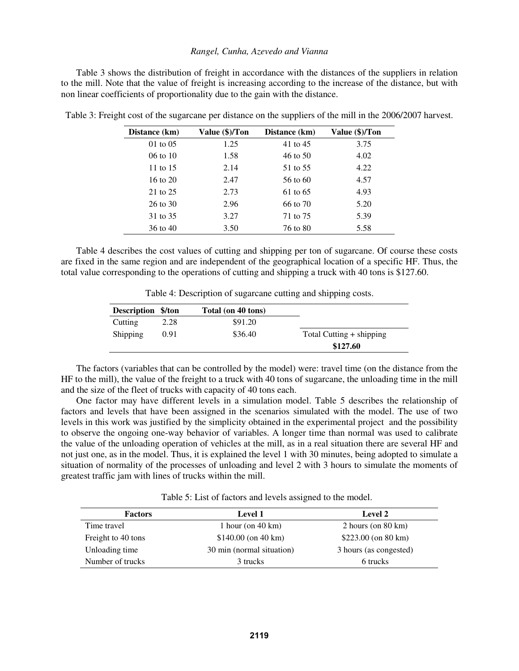Table 3 shows the distribution of freight in accordance with the distances of the suppliers in relation to the mill. Note that the value of freight is increasing according to the increase of the distance, but with non linear coefficients of proportionality due to the gain with the distance.

| Distance (km) | Value (\$)/Ton | Distance (km) | Value (\$)/Ton |
|---------------|----------------|---------------|----------------|
| $01$ to $05$  | 1.25           | 41 to 45      | 3.75           |
| $06$ to $10$  | 1.58           | 46 to 50      | 4.02           |
| 11 to 15      | 2.14           | 51 to 55      | 4.22           |
| 16 to $20$    | 2.47           | 56 to 60      | 4.57           |
| 21 to 25      | 2.73           | 61 to 65      | 4.93           |
| 26 to 30      | 2.96           | 66 to 70      | 5.20           |
| 31 to 35      | 3.27           | 71 to 75      | 5.39           |
| 36 to 40      | 3.50           | 76 to 80      | 5.58           |

Table 3: Freight cost of the sugarcane per distance on the suppliers of the mill in the 2006/2007 harvest.

 Table 4 describes the cost values of cutting and shipping per ton of sugarcane. Of course these costs are fixed in the same region and are independent of the geographical location of a specific HF. Thus, the total value corresponding to the operations of cutting and shipping a truck with 40 tons is \$127.60.

Table 4: Description of sugarcane cutting and shipping costs.

| Description \$/ton |      | Total (on 40 tons) |                          |
|--------------------|------|--------------------|--------------------------|
| Cutting            | 2.28 | \$91.20            |                          |
| <b>Shipping</b>    | 0.91 | \$36.40            | Total Cutting + shipping |
|                    |      |                    | \$127.60                 |

 The factors (variables that can be controlled by the model) were: travel time (on the distance from the HF to the mill), the value of the freight to a truck with 40 tons of sugarcane, the unloading time in the mill and the size of the fleet of trucks with capacity of 40 tons each.

One factor may have different levels in a simulation model. Table 5 describes the relationship of factors and levels that have been assigned in the scenarios simulated with the model. The use of two levels in this work was justified by the simplicity obtained in the experimental project and the possibility to observe the ongoing one-way behavior of variables. A longer time than normal was used to calibrate the value of the unloading operation of vehicles at the mill, as in a real situation there are several HF and not just one, as in the model. Thus, it is explained the level 1 with 30 minutes, being adopted to simulate a situation of normality of the processes of unloading and level 2 with 3 hours to simulate the moments of greatest traffic jam with lines of trucks within the mill.

Table 5: List of factors and levels assigned to the model.

| <b>Factors</b>     | <b>Level 1</b>               | <b>Level 2</b>                |
|--------------------|------------------------------|-------------------------------|
| Time travel        | 1 hour (on $40 \text{ km}$ ) | 2 hours (on $80 \text{ km}$ ) |
| Freight to 40 tons | $$140.00$ (on 40 km)         | $$223.00$ (on 80 km)          |
| Unloading time     | 30 min (normal situation)    | 3 hours (as congested)        |
| Number of trucks   | 3 trucks                     | 6 trucks                      |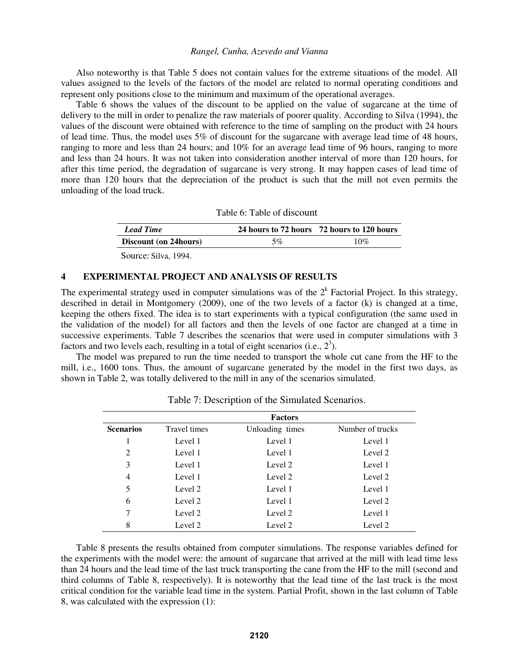Also noteworthy is that Table 5 does not contain values for the extreme situations of the model. All values assigned to the levels of the factors of the model are related to normal operating conditions and represent only positions close to the minimum and maximum of the operational averages.

Table 6 shows the values of the discount to be applied on the value of sugarcane at the time of delivery to the mill in order to penalize the raw materials of poorer quality. According to Silva (1994), the values of the discount were obtained with reference to the time of sampling on the product with 24 hours of lead time. Thus, the model uses 5% of discount for the sugarcane with average lead time of 48 hours, ranging to more and less than 24 hours; and 10% for an average lead time of 96 hours, ranging to more and less than 24 hours. It was not taken into consideration another interval of more than 120 hours, for after this time period, the degradation of sugarcane is very strong. It may happen cases of lead time of more than 120 hours that the depreciation of the product is such that the mill not even permits the unloading of the load truck.

|  | Table 6: Table of discount |  |
|--|----------------------------|--|
|  |                            |  |

| <b>Lead Time</b>              |    | 24 hours to 72 hours 72 hours to 120 hours |
|-------------------------------|----|--------------------------------------------|
| <b>Discount (on 24 hours)</b> | 5% | 10%                                        |

Source: Silva, 1994.

## **4 EXPERIMENTAL PROJECT AND ANALYSIS OF RESULTS**

The experimental strategy used in computer simulations was of the  $2<sup>k</sup>$  Factorial Project. In this strategy, described in detail in Montgomery (2009), one of the two levels of a factor (k) is changed at a time, keeping the others fixed. The idea is to start experiments with a typical configuration (the same used in the validation of the model) for all factors and then the levels of one factor are changed at a time in successive experiments. Table 7 describes the scenarios that were used in computer simulations with 3 factors and two levels each, resulting in a total of eight scenarios (i.e.,  $2<sup>3</sup>$ ).

 The model was prepared to run the time needed to transport the whole cut cane from the HF to the mill, i.e., 1600 tons. Thus, the amount of sugarcane generated by the model in the first two days, as shown in Table 2, was totally delivered to the mill in any of the scenarios simulated.

|                  |              | <b>Factors</b>  |                  |
|------------------|--------------|-----------------|------------------|
| <b>Scenarios</b> | Travel times | Unloading times | Number of trucks |
| 1                | Level 1      | Level 1         | Level 1          |
| 2                | Level 1      | Level 1         | Level 2          |
| 3                | Level 1      | Level 2         | Level 1          |
| $\overline{4}$   | Level 1      | Level 2         | Level 2          |
| 5                | Level 2      | Level 1         | Level 1          |
| 6                | Level 2      | Level 1         | Level 2          |
| 7                | Level 2      | Level 2         | Level 1          |
| 8                | Level 2      | Level 2         | Level 2          |
|                  |              |                 |                  |

Table 7: Description of the Simulated Scenarios.

 Table 8 presents the results obtained from computer simulations. The response variables defined for the experiments with the model were: the amount of sugarcane that arrived at the mill with lead time less than 24 hours and the lead time of the last truck transporting the cane from the HF to the mill (second and third columns of Table 8, respectively). It is noteworthy that the lead time of the last truck is the most critical condition for the variable lead time in the system. Partial Profit, shown in the last column of Table 8, was calculated with the expression (1):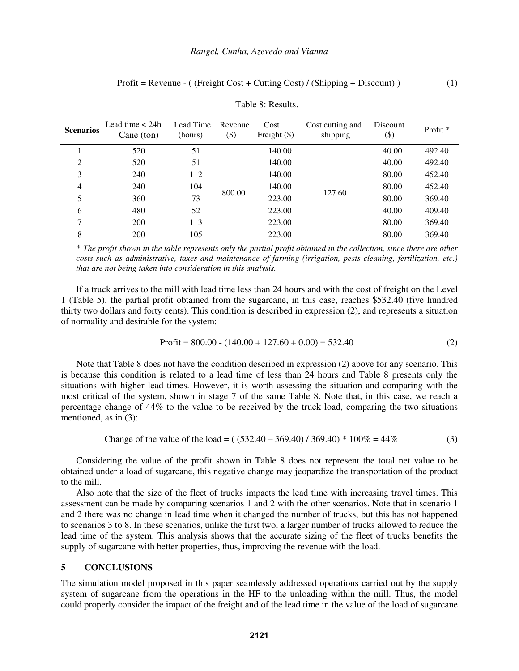| <b>Scenarios</b> | Lead time $<$ 24h<br>Cane (ton) | Lead Time<br>(hours) | Revenue<br>$(\$)$ | Cost<br>Freight $(\$)$ | Cost cutting and<br>shipping | Discount<br>$(\$)$ | Profit <sup>*</sup> |
|------------------|---------------------------------|----------------------|-------------------|------------------------|------------------------------|--------------------|---------------------|
|                  | 520                             | 51                   |                   | 140.00                 |                              | 40.00              | 492.40              |
| $\overline{2}$   | 520                             | 51                   |                   | 140.00                 |                              | 40.00              | 492.40              |
| 3                | 240                             | 112                  |                   | 140.00                 |                              | 80.00              | 452.40              |
| 4                | 240                             | 104                  |                   | 140.00                 |                              | 80.00              | 452.40              |
| 5                | 360                             | 73                   | 800.00            | 223.00                 | 127.60                       | 80.00              | 369.40              |
| 6                | 480                             | 52                   |                   | 223.00                 |                              | 40.00              | 409.40              |
| 7                | 200                             | 113                  |                   | 223.00                 |                              | 80.00              | 369.40              |
| 8                | 200                             | 105                  |                   | 223.00                 |                              | 80.00              | 369.40              |

Table 8: Results.

\* *The profit shown in the table represents only the partial profit obtained in the collection, since there are other costs such as administrative, taxes and maintenance of farming (irrigation, pests cleaning, fertilization, etc.) that are not being taken into consideration in this analysis.*

 If a truck arrives to the mill with lead time less than 24 hours and with the cost of freight on the Level 1 (Table 5), the partial profit obtained from the sugarcane, in this case, reaches \$532.40 (five hundred thirty two dollars and forty cents). This condition is described in expression (2), and represents a situation of normality and desirable for the system:

$$
Profit = 800.00 - (140.00 + 127.60 + 0.00) = 532.40
$$
\n(2)

 Note that Table 8 does not have the condition described in expression (2) above for any scenario. This is because this condition is related to a lead time of less than 24 hours and Table 8 presents only the situations with higher lead times. However, it is worth assessing the situation and comparing with the most critical of the system, shown in stage 7 of the same Table 8. Note that, in this case, we reach a percentage change of 44% to the value to be received by the truck load, comparing the two situations mentioned, as in (3):

Change of the value of the load = 
$$
((532.40 - 369.40) / 369.40) * 100\% = 44\%
$$
 (3)

 Considering the value of the profit shown in Table 8 does not represent the total net value to be obtained under a load of sugarcane, this negative change may jeopardize the transportation of the product to the mill.

 Also note that the size of the fleet of trucks impacts the lead time with increasing travel times. This assessment can be made by comparing scenarios 1 and 2 with the other scenarios. Note that in scenario 1 and 2 there was no change in lead time when it changed the number of trucks, but this has not happened to scenarios 3 to 8. In these scenarios, unlike the first two, a larger number of trucks allowed to reduce the lead time of the system. This analysis shows that the accurate sizing of the fleet of trucks benefits the supply of sugarcane with better properties, thus, improving the revenue with the load.

### **5 CONCLUSIONS**

The simulation model proposed in this paper seamlessly addressed operations carried out by the supply system of sugarcane from the operations in the HF to the unloading within the mill. Thus, the model could properly consider the impact of the freight and of the lead time in the value of the load of sugarcane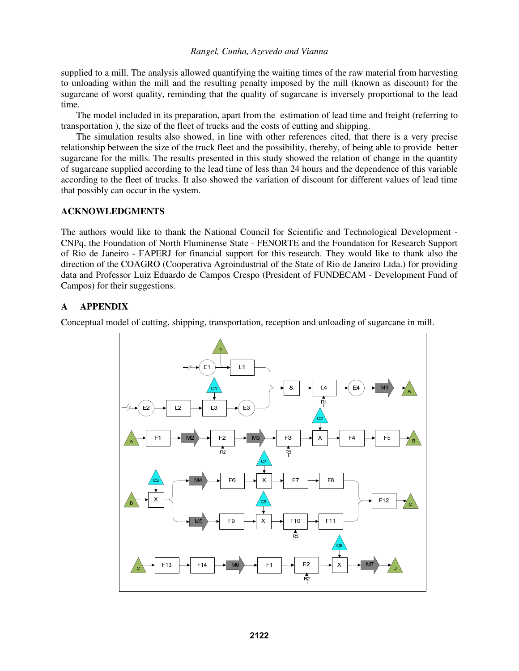supplied to a mill. The analysis allowed quantifying the waiting times of the raw material from harvesting to unloading within the mill and the resulting penalty imposed by the mill (known as discount) for the sugarcane of worst quality, reminding that the quality of sugarcane is inversely proportional to the lead time.

The model included in its preparation, apart from the estimation of lead time and freight (referring to transportation ), the size of the fleet of trucks and the costs of cutting and shipping.

The simulation results also showed, in line with other references cited, that there is a very precise relationship between the size of the truck fleet and the possibility, thereby, of being able to provide better sugarcane for the mills. The results presented in this study showed the relation of change in the quantity of sugarcane supplied according to the lead time of less than 24 hours and the dependence of this variable according to the fleet of trucks. It also showed the variation of discount for different values of lead time that possibly can occur in the system.

## **ACKNOWLEDGMENTS**

The authors would like to thank the National Council for Scientific and Technological Development - CNPq, the Foundation of North Fluminense State - FENORTE and the Foundation for Research Support of Rio de Janeiro - FAPERJ for financial support for this research. They would like to thank also the direction of the COAGRO (Cooperativa Agroindustrial of the State of Rio de Janeiro Ltda.) for providing data and Professor Luiz Eduardo de Campos Crespo (President of FUNDECAM - Development Fund of Campos) for their suggestions.

# **A APPENDIX**

Conceptual model of cutting, shipping, transportation, reception and unloading of sugarcane in mill.

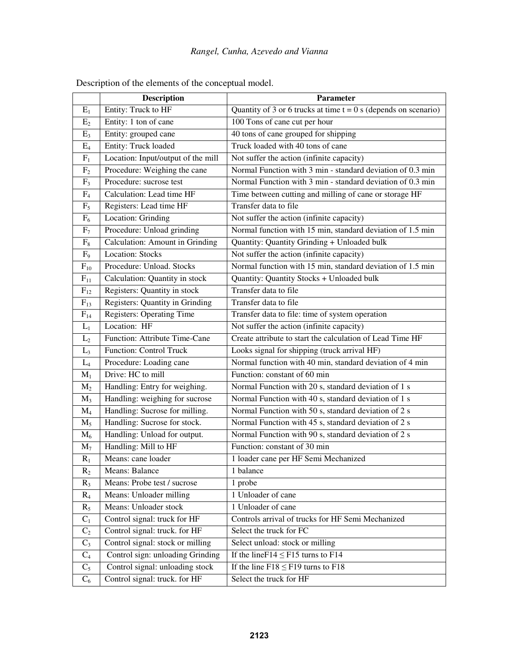|                | <b>Description</b>                 | Parameter                                                         |
|----------------|------------------------------------|-------------------------------------------------------------------|
| $E_1$          | Entity: Truck to HF                | Quantity of 3 or 6 trucks at time $t = 0$ s (depends on scenario) |
| E <sub>2</sub> | Entity: 1 ton of cane              | 100 Tons of cane cut per hour                                     |
| $E_3$          | Entity: grouped cane               | 40 tons of cane grouped for shipping                              |
| $E_4$          | <b>Entity: Truck loaded</b>        | Truck loaded with 40 tons of cane                                 |
| $F_1$          | Location: Input/output of the mill | Not suffer the action (infinite capacity)                         |
| F <sub>2</sub> | Procedure: Weighing the cane       | Normal Function with 3 min - standard deviation of 0.3 min        |
| F <sub>3</sub> | Procedure: sucrose test            | Normal Function with 3 min - standard deviation of 0.3 min        |
| F <sub>4</sub> | Calculation: Lead time HF          | Time between cutting and milling of cane or storage HF            |
| $F_5$          | Registers: Lead time HF            | Transfer data to file                                             |
| $F_6$          | Location: Grinding                 | Not suffer the action (infinite capacity)                         |
| F <sub>7</sub> | Procedure: Unload grinding         | Normal function with 15 min, standard deviation of 1.5 min        |
| $F_8$          | Calculation: Amount in Grinding    | Quantity: Quantity Grinding + Unloaded bulk                       |
| F <sub>9</sub> | <b>Location: Stocks</b>            | Not suffer the action (infinite capacity)                         |
| $F_{10}$       | Procedure: Unload. Stocks          | Normal function with 15 min, standard deviation of 1.5 min        |
| $F_{11}$       | Calculation: Quantity in stock     | Quantity: Quantity Stocks + Unloaded bulk                         |
| $F_{12}$       | Registers: Quantity in stock       | Transfer data to file                                             |
| $F_{13}$       | Registers: Quantity in Grinding    | Transfer data to file                                             |
| $F_{14}$       | <b>Registers: Operating Time</b>   | Transfer data to file: time of system operation                   |
| $L_1$          | Location: HF                       | Not suffer the action (infinite capacity)                         |
| L <sub>2</sub> | Function: Attribute Time-Cane      | Create attribute to start the calculation of Lead Time HF         |
| $L_3$          | <b>Function: Control Truck</b>     | Looks signal for shipping (truck arrival HF)                      |
| $L_4$          | Procedure: Loading cane            | Normal function with 40 min, standard deviation of 4 min          |
| $M_1$          | Drive: HC to mill                  | Function: constant of 60 min                                      |
| $M_2$          | Handling: Entry for weighing.      | Normal Function with 20 s, standard deviation of 1 s              |
| $M_3$          | Handling: weighing for sucrose     | Normal Function with 40 s, standard deviation of 1 s              |
| $M_4$          | Handling: Sucrose for milling.     | Normal Function with 50 s, standard deviation of 2 s              |
| $M_5$          | Handling: Sucrose for stock.       | Normal Function with 45 s, standard deviation of 2 s              |
| $M_6$          | Handling: Unload for output.       | Normal Function with 90 s, standard deviation of 2 s              |
| $M_7$          | Handling: Mill to HF               | Function: constant of 30 min                                      |
| $R_1$          | Means: cane loader                 | 1 loader cane per HF Semi Mechanized                              |
| $R_2$          | Means: Balance                     | 1 balance                                                         |
| $R_3$          | Means: Probe test / sucrose        | 1 probe                                                           |
| $R_4$          | Means: Unloader milling            | 1 Unloader of cane                                                |
| $R_5$          | Means: Unloader stock              | 1 Unloader of cane                                                |
| $C_1$          | Control signal: truck for HF       | Controls arrival of trucks for HF Semi Mechanized                 |
| $C_2$          | Control signal: truck. for HF      | Select the truck for FC                                           |
| $C_3$          | Control signal: stock or milling   | Select unload: stock or milling                                   |
| $C_4$          | Control sign: unloading Grinding   | If the line $F14 \le F15$ turns to $F14$                          |
| $C_5$          | Control signal: unloading stock    | If the line $F18 \le F19$ turns to $F18$                          |
| $C_6$          | Control signal: truck. for HF      | Select the truck for HF                                           |

Description of the elements of the conceptual model.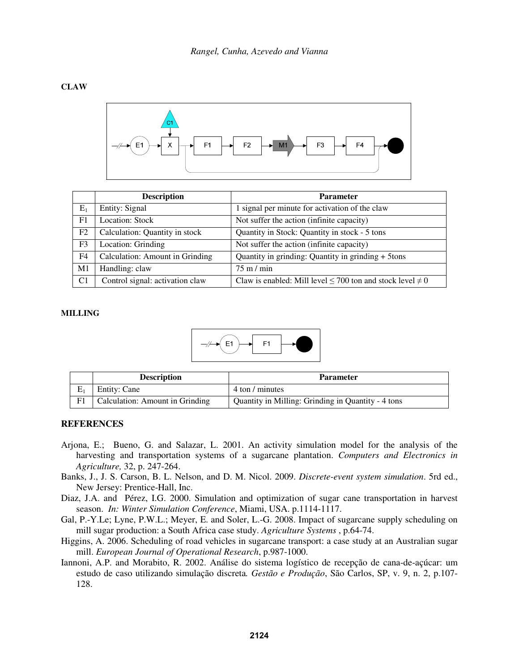## **CLAW**



|                | <b>Description</b>              | <b>Parameter</b>                                                    |
|----------------|---------------------------------|---------------------------------------------------------------------|
| $E_1$          | Entity: Signal                  | 1 signal per minute for activation of the claw                      |
| F1             | <b>Location: Stock</b>          | Not suffer the action (infinite capacity)                           |
| F2             | Calculation: Quantity in stock  | Quantity in Stock: Quantity in stock - 5 tons                       |
| F3             | Location: Grinding              | Not suffer the action (infinite capacity)                           |
| F <sub>4</sub> | Calculation: Amount in Grinding | Quantity in grinding: Quantity in grinding + 5tons                  |
| M1             | Handling: claw                  | $75 \text{ m} / \text{min}$                                         |
| C <sub>1</sub> | Control signal: activation claw | Claw is enabled: Mill level $\leq$ 700 ton and stock level $\neq$ 0 |

### **MILLING**



| <b>Description</b>              | <b>Parameter</b>                                   |
|---------------------------------|----------------------------------------------------|
| Entity: Cane                    | 4 ton / minutes                                    |
| Calculation: Amount in Grinding | Quantity in Milling: Grinding in Quantity - 4 tons |

## **REFERENCES**

- Arjona, E.; Bueno, G. and Salazar, L. 2001. An activity simulation model for the analysis of the harvesting and transportation systems of a sugarcane plantation. *Computers and Electronics in Agriculture,* 32, p. 247-264.
- Banks, J., J. S. Carson, B. L. Nelson, and D. M. Nicol. 2009. *Discrete-event system simulation*. 5rd ed., New Jersey: Prentice-Hall, Inc.
- Diaz, J.A. and Pérez, I.G. 2000. Simulation and optimization of sugar cane transportation in harvest season. *In: Winter Simulation Conference*, Miami, USA. p.1114-1117.
- Gal, P.-Y.Le; Lyne, P.W.L.; Meyer, E. and Soler, L.-G. 2008. Impact of sugarcane supply scheduling on mill sugar production: a South Africa case study. *Agriculture Systems* , p.64-74.
- Higgins, A. 2006. Scheduling of road vehicles in sugarcane transport: a case study at an Australian sugar mill. *European Journal of Operational Research*, p.987-1000.
- Iannoni, A.P. and Morabito, R. 2002. Análise do sistema logístico de recepção de cana-de-açúcar: um estudo de caso utilizando simulação discreta*. Gestão e Produção*, São Carlos, SP, v. 9, n. 2, p.107- 128.